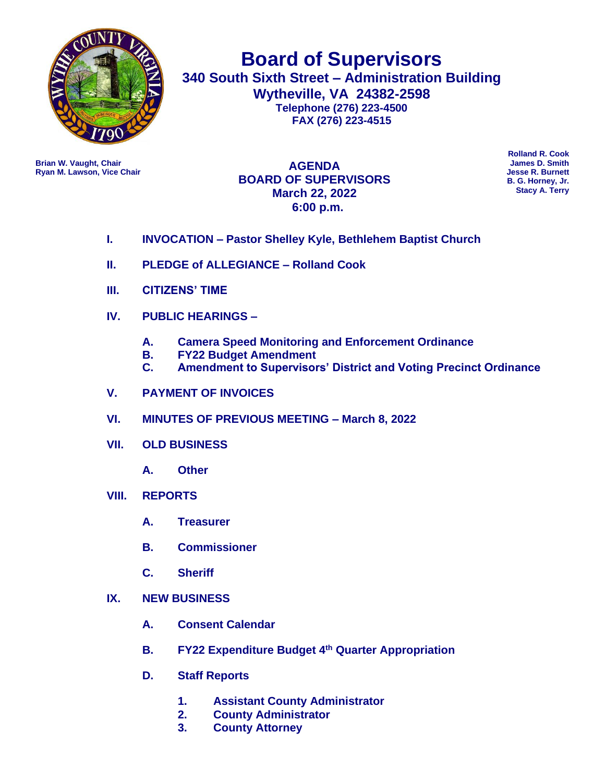

**Board of Supervisors 340 South Sixth Street – Administration Building Wytheville, VA 24382-2598 Telephone (276) 223-4500 FAX (276) 223-4515**

**Ryan M. Lawson, Vice Chair** 

**Brian W. Vaught, Chair James D. Smith AGENDA BOARD OF SUPERVISORS March 22, 2022 6:00 p.m.**

**Rolland R. Cook B. G. Horney, Jr. Stacy A. Terry**

- **I. INVOCATION – Pastor Shelley Kyle, Bethlehem Baptist Church**
- **II. PLEDGE of ALLEGIANCE – Rolland Cook**
- **III. CITIZENS' TIME**
- **IV. PUBLIC HEARINGS –**
	- **A. Camera Speed Monitoring and Enforcement Ordinance**
	- **B. FY22 Budget Amendment**
	- **C. Amendment to Supervisors' District and Voting Precinct Ordinance**
- **V. PAYMENT OF INVOICES**
- **VI. MINUTES OF PREVIOUS MEETING – March 8, 2022**
- **VII. OLD BUSINESS**
	- **A. Other**
- **VIII. REPORTS**
	- **A. Treasurer**
	- **B. Commissioner**
	- **C. Sheriff**
- **IX. NEW BUSINESS** 
	- **A. Consent Calendar**
	- **B. FY22 Expenditure Budget 4th Quarter Appropriation**
	- **D. Staff Reports**
		- **1. Assistant County Administrator**
		- **2. County Administrator**
		- **3. County Attorney**